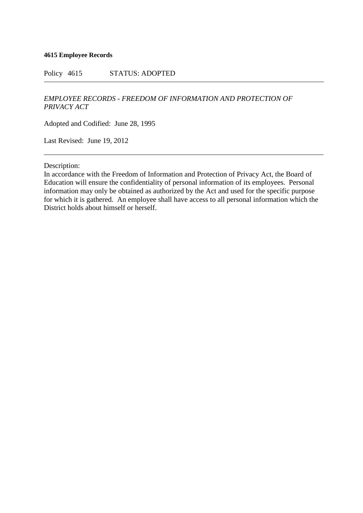#### **4615 Employee Records**

Policy 4615 STATUS: ADOPTED

# *EMPLOYEE RECORDS - FREEDOM OF INFORMATION AND PROTECTION OF PRIVACY ACT*

Adopted and Codified: June 28, 1995

Last Revised: June 19, 2012

Description:

In accordance with the Freedom of Information and Protection of Privacy Act, the Board of Education will ensure the confidentiality of personal information of its employees. Personal information may only be obtained as authorized by the Act and used for the specific purpose for which it is gathered. An employee shall have access to all personal information which the District holds about himself or herself.